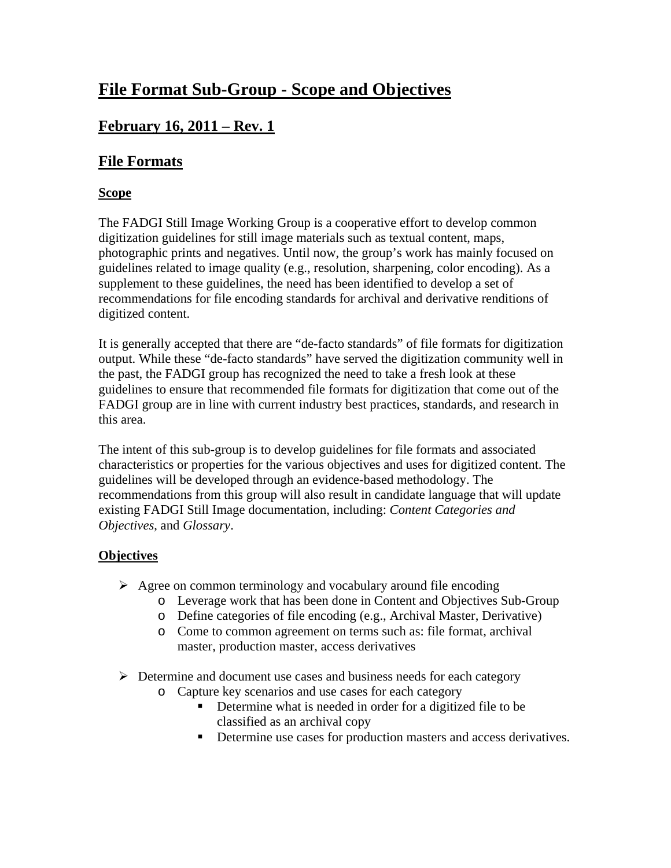# **File Format Sub-Group - Scope and Objectives**

## **February 16, 2011 – Rev. 1**

## **File Formats**

### **Scope**

The FADGI Still Image Working Group is a cooperative effort to develop common digitization guidelines for still image materials such as textual content, maps, photographic prints and negatives. Until now, the group's work has mainly focused on guidelines related to image quality (e.g., resolution, sharpening, color encoding). As a supplement to these guidelines, the need has been identified to develop a set of recommendations for file encoding standards for archival and derivative renditions of digitized content.

It is generally accepted that there are "de-facto standards" of file formats for digitization output. While these "de-facto standards" have served the digitization community well in the past, the FADGI group has recognized the need to take a fresh look at these guidelines to ensure that recommended file formats for digitization that come out of the FADGI group are in line with current industry best practices, standards, and research in this area.

The intent of this sub-group is to develop guidelines for file formats and associated characteristics or properties for the various objectives and uses for digitized content. The guidelines will be developed through an evidence-based methodology. The recommendations from this group will also result in candidate language that will update existing FADGI Still Image documentation, including: *Content Categories and Objectives*, and *Glossary*.

#### **Objectives**

- $\triangleright$  Agree on common terminology and vocabulary around file encoding
	- o Leverage work that has been done in Content and Objectives Sub-Group
	- o Define categories of file encoding (e.g., Archival Master, Derivative)
	- o Come to common agreement on terms such as: file format, archival master, production master, access derivatives
- $\triangleright$  Determine and document use cases and business needs for each category
	- o Capture key scenarios and use cases for each category
		- Determine what is needed in order for a digitized file to be classified as an archival copy
		- Determine use cases for production masters and access derivatives.